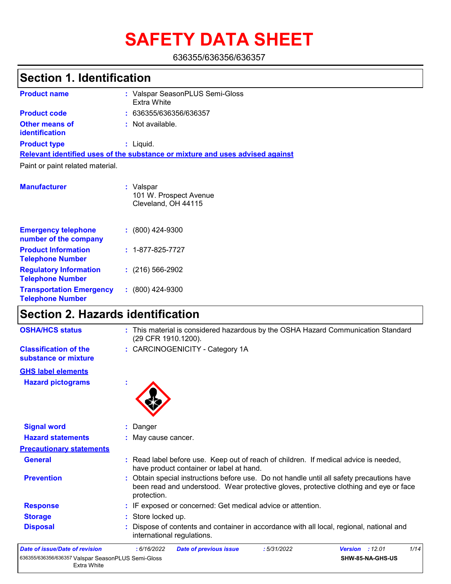# **SAFETY DATA SHEET**

636355/636356/636357

# **Section 1. Identification**

| <b>Product name</b>                            | : Valspar SeasonPLUS Semi-Gloss<br>Extra White                                |
|------------------------------------------------|-------------------------------------------------------------------------------|
| <b>Product code</b>                            | : 636355/636356/636357                                                        |
| <b>Other means of</b><br><b>identification</b> | : Not available.                                                              |
| <b>Product type</b>                            | $:$ Liquid.                                                                   |
|                                                | Relevant identified uses of the substance or mixture and uses advised against |
| Paint or paint related material.               |                                                                               |
| <b>Manufacturer</b>                            | : Valspar<br>101 W. Prospect Avenue                                           |

|                                                            | Cleveland, OH 44115      |
|------------------------------------------------------------|--------------------------|
| <b>Emergency telephone</b><br>number of the company        | $: (800)$ 424-9300       |
| <b>Product Information</b><br><b>Telephone Number</b>      | $: 1 - 877 - 825 - 7727$ |
| <b>Regulatory Information</b><br><b>Telephone Number</b>   | $: (216) 566 - 2902$     |
| <b>Transportation Emergency</b><br><b>Telephone Number</b> | $: (800)$ 424-9300       |

# **Section 2. Hazards identification**

| <b>OSHA/HCS status</b>                               | : This material is considered hazardous by the OSHA Hazard Communication Standard<br>(29 CFR 1910.1200).                                                                                          |
|------------------------------------------------------|---------------------------------------------------------------------------------------------------------------------------------------------------------------------------------------------------|
| <b>Classification of the</b><br>substance or mixture | : CARCINOGENICITY - Category 1A                                                                                                                                                                   |
| <b>GHS label elements</b>                            |                                                                                                                                                                                                   |
| <b>Hazard pictograms</b>                             | t                                                                                                                                                                                                 |
| <b>Signal word</b>                                   | : Danger                                                                                                                                                                                          |
| <b>Hazard statements</b>                             | : May cause cancer.                                                                                                                                                                               |
| <b>Precautionary statements</b>                      |                                                                                                                                                                                                   |
| <b>General</b>                                       | : Read label before use. Keep out of reach of children. If medical advice is needed,<br>have product container or label at hand.                                                                  |
| <b>Prevention</b>                                    | : Obtain special instructions before use. Do not handle until all safety precautions have<br>been read and understood. Wear protective gloves, protective clothing and eye or face<br>protection. |
| <b>Response</b>                                      | : IF exposed or concerned: Get medical advice or attention.                                                                                                                                       |
| <b>Storage</b>                                       | : Store locked up.                                                                                                                                                                                |
| <b>Disposal</b>                                      | Dispose of contents and container in accordance with all local, regional, national and<br>international regulations.                                                                              |
| Date of issue/Date of revision                       | : 6/16/2022<br>:5/31/2022<br><b>Version : 12.01</b><br>1/14<br><b>Date of previous issue</b>                                                                                                      |
| Extra White                                          | SHW-85-NA-GHS-US                                                                                                                                                                                  |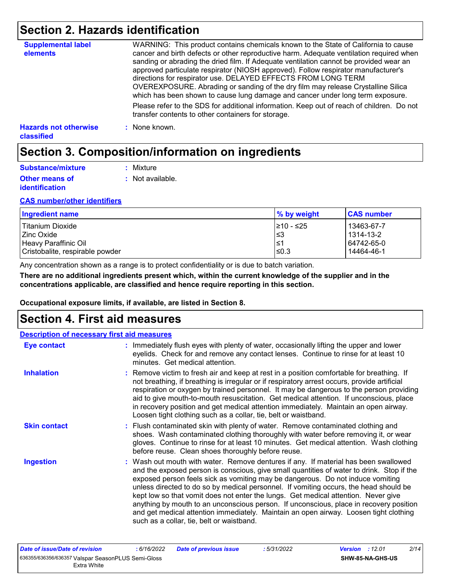# **Section 2. Hazards identification**

| <b>Supplemental label</b><br>elements      | WARNING: This product contains chemicals known to the State of California to cause<br>cancer and birth defects or other reproductive harm. Adequate ventilation required when<br>sanding or abrading the dried film. If Adequate ventilation cannot be provided wear an<br>approved particulate respirator (NIOSH approved). Follow respirator manufacturer's<br>directions for respirator use. DELAYED EFFECTS FROM LONG TERM<br>OVEREXPOSURE. Abrading or sanding of the dry film may release Crystalline Silica<br>which has been shown to cause lung damage and cancer under long term exposure. |
|--------------------------------------------|------------------------------------------------------------------------------------------------------------------------------------------------------------------------------------------------------------------------------------------------------------------------------------------------------------------------------------------------------------------------------------------------------------------------------------------------------------------------------------------------------------------------------------------------------------------------------------------------------|
|                                            | Please refer to the SDS for additional information. Keep out of reach of children. Do not<br>transfer contents to other containers for storage.                                                                                                                                                                                                                                                                                                                                                                                                                                                      |
| <b>Hazards not otherwise</b><br>classified | : None known.                                                                                                                                                                                                                                                                                                                                                                                                                                                                                                                                                                                        |

# **Section 3. Composition/information on ingredients**

| Substance/mixture                              | : Mixture        |
|------------------------------------------------|------------------|
| <b>Other means of</b><br><i>identification</i> | : Not available. |

### **CAS number/other identifiers**

| Ingredient name                 | % by weight | <b>CAS number</b> |
|---------------------------------|-------------|-------------------|
| Titanium Dioxide                | 1≥10 - ≤25  | 13463-67-7        |
| l Zinc Oxide                    | l≤3         | 1314-13-2         |
| Heavy Paraffinic Oil            | ∣≤1         | 64742-65-0        |
| Cristobalite, respirable powder | $\leq 0.3$  | 14464-46-1        |

Any concentration shown as a range is to protect confidentiality or is due to batch variation.

**There are no additional ingredients present which, within the current knowledge of the supplier and in the concentrations applicable, are classified and hence require reporting in this section.**

**Occupational exposure limits, if available, are listed in Section 8.**

### **Section 4. First aid measures**

| <b>Description of necessary first aid measures</b> |                                                                                                                                                                                                                                                                                                                                                                                                                                                                                                                                                                                                                                                                                   |
|----------------------------------------------------|-----------------------------------------------------------------------------------------------------------------------------------------------------------------------------------------------------------------------------------------------------------------------------------------------------------------------------------------------------------------------------------------------------------------------------------------------------------------------------------------------------------------------------------------------------------------------------------------------------------------------------------------------------------------------------------|
| Eye contact                                        | : Immediately flush eyes with plenty of water, occasionally lifting the upper and lower<br>eyelids. Check for and remove any contact lenses. Continue to rinse for at least 10<br>minutes. Get medical attention.                                                                                                                                                                                                                                                                                                                                                                                                                                                                 |
| <b>Inhalation</b>                                  | : Remove victim to fresh air and keep at rest in a position comfortable for breathing. If<br>not breathing, if breathing is irregular or if respiratory arrest occurs, provide artificial<br>respiration or oxygen by trained personnel. It may be dangerous to the person providing<br>aid to give mouth-to-mouth resuscitation. Get medical attention. If unconscious, place<br>in recovery position and get medical attention immediately. Maintain an open airway.<br>Loosen tight clothing such as a collar, tie, belt or waistband.                                                                                                                                         |
| <b>Skin contact</b>                                | : Flush contaminated skin with plenty of water. Remove contaminated clothing and<br>shoes. Wash contaminated clothing thoroughly with water before removing it, or wear<br>gloves. Continue to rinse for at least 10 minutes. Get medical attention. Wash clothing<br>before reuse. Clean shoes thoroughly before reuse.                                                                                                                                                                                                                                                                                                                                                          |
| <b>Ingestion</b>                                   | : Wash out mouth with water. Remove dentures if any. If material has been swallowed<br>and the exposed person is conscious, give small quantities of water to drink. Stop if the<br>exposed person feels sick as vomiting may be dangerous. Do not induce vomiting<br>unless directed to do so by medical personnel. If vomiting occurs, the head should be<br>kept low so that vomit does not enter the lungs. Get medical attention. Never give<br>anything by mouth to an unconscious person. If unconscious, place in recovery position<br>and get medical attention immediately. Maintain an open airway. Loosen tight clothing<br>such as a collar, tie, belt or waistband. |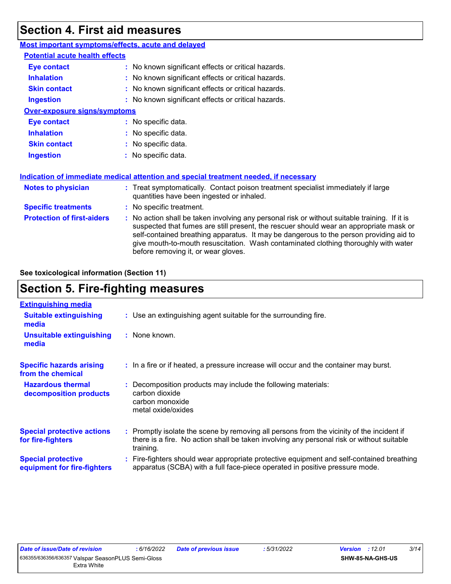# **Section 4. First aid measures**

| Most important symptoms/effects, acute and delayed |                                                                                                                                                                                                                                                                                                                                                                                                                 |  |
|----------------------------------------------------|-----------------------------------------------------------------------------------------------------------------------------------------------------------------------------------------------------------------------------------------------------------------------------------------------------------------------------------------------------------------------------------------------------------------|--|
| <b>Potential acute health effects</b>              |                                                                                                                                                                                                                                                                                                                                                                                                                 |  |
| <b>Eye contact</b>                                 | : No known significant effects or critical hazards.                                                                                                                                                                                                                                                                                                                                                             |  |
| <b>Inhalation</b>                                  | : No known significant effects or critical hazards.                                                                                                                                                                                                                                                                                                                                                             |  |
| <b>Skin contact</b>                                | : No known significant effects or critical hazards.                                                                                                                                                                                                                                                                                                                                                             |  |
| <b>Ingestion</b>                                   | : No known significant effects or critical hazards.                                                                                                                                                                                                                                                                                                                                                             |  |
| <b>Over-exposure signs/symptoms</b>                |                                                                                                                                                                                                                                                                                                                                                                                                                 |  |
| <b>Eye contact</b>                                 | : No specific data.                                                                                                                                                                                                                                                                                                                                                                                             |  |
| <b>Inhalation</b>                                  | : No specific data.                                                                                                                                                                                                                                                                                                                                                                                             |  |
| <b>Skin contact</b>                                | : No specific data.                                                                                                                                                                                                                                                                                                                                                                                             |  |
| <b>Ingestion</b>                                   | : No specific data.                                                                                                                                                                                                                                                                                                                                                                                             |  |
|                                                    | Indication of immediate medical attention and special treatment needed, if necessary                                                                                                                                                                                                                                                                                                                            |  |
| <b>Notes to physician</b>                          | : Treat symptomatically. Contact poison treatment specialist immediately if large<br>quantities have been ingested or inhaled.                                                                                                                                                                                                                                                                                  |  |
| <b>Specific treatments</b>                         | : No specific treatment.                                                                                                                                                                                                                                                                                                                                                                                        |  |
| <b>Protection of first-aiders</b>                  | : No action shall be taken involving any personal risk or without suitable training. If it is<br>suspected that fumes are still present, the rescuer should wear an appropriate mask or<br>self-contained breathing apparatus. It may be dangerous to the person providing aid to<br>give mouth-to-mouth resuscitation. Wash contaminated clothing thoroughly with water<br>before removing it, or wear gloves. |  |

**See toxicological information (Section 11)**

# **Section 5. Fire-fighting measures**

| <b>Extinguishing media</b>                               |                                                                                                                                                                                                     |
|----------------------------------------------------------|-----------------------------------------------------------------------------------------------------------------------------------------------------------------------------------------------------|
| <b>Suitable extinguishing</b><br>media                   | : Use an extinguishing agent suitable for the surrounding fire.                                                                                                                                     |
| <b>Unsuitable extinguishing</b><br>media                 | $:$ None known.                                                                                                                                                                                     |
| <b>Specific hazards arising</b><br>from the chemical     | : In a fire or if heated, a pressure increase will occur and the container may burst.                                                                                                               |
| <b>Hazardous thermal</b><br>decomposition products       | : Decomposition products may include the following materials:<br>carbon dioxide<br>carbon monoxide<br>metal oxide/oxides                                                                            |
| <b>Special protective actions</b><br>for fire-fighters   | : Promptly isolate the scene by removing all persons from the vicinity of the incident if<br>there is a fire. No action shall be taken involving any personal risk or without suitable<br>training. |
| <b>Special protective</b><br>equipment for fire-fighters | : Fire-fighters should wear appropriate protective equipment and self-contained breathing<br>apparatus (SCBA) with a full face-piece operated in positive pressure mode.                            |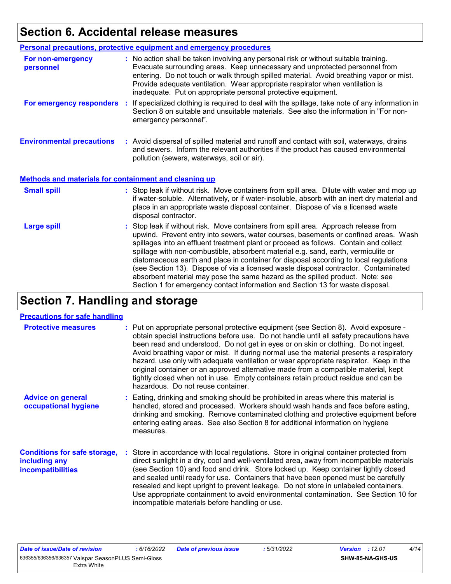# **Section 6. Accidental release measures**

|                                                              | <b>Personal precautions, protective equipment and emergency procedures</b>                                                                                                                                                                                                                                                                                                                                                                                                                                                                                                                                                                                                                                   |  |
|--------------------------------------------------------------|--------------------------------------------------------------------------------------------------------------------------------------------------------------------------------------------------------------------------------------------------------------------------------------------------------------------------------------------------------------------------------------------------------------------------------------------------------------------------------------------------------------------------------------------------------------------------------------------------------------------------------------------------------------------------------------------------------------|--|
| For non-emergency<br>personnel                               | : No action shall be taken involving any personal risk or without suitable training.<br>Evacuate surrounding areas. Keep unnecessary and unprotected personnel from<br>entering. Do not touch or walk through spilled material. Avoid breathing vapor or mist.<br>Provide adequate ventilation. Wear appropriate respirator when ventilation is<br>inadequate. Put on appropriate personal protective equipment.                                                                                                                                                                                                                                                                                             |  |
| For emergency responders                                     | : If specialized clothing is required to deal with the spillage, take note of any information in<br>Section 8 on suitable and unsuitable materials. See also the information in "For non-<br>emergency personnel".                                                                                                                                                                                                                                                                                                                                                                                                                                                                                           |  |
| <b>Environmental precautions</b>                             | : Avoid dispersal of spilled material and runoff and contact with soil, waterways, drains<br>and sewers. Inform the relevant authorities if the product has caused environmental<br>pollution (sewers, waterways, soil or air).                                                                                                                                                                                                                                                                                                                                                                                                                                                                              |  |
| <b>Methods and materials for containment and cleaning up</b> |                                                                                                                                                                                                                                                                                                                                                                                                                                                                                                                                                                                                                                                                                                              |  |
| <b>Small spill</b>                                           | : Stop leak if without risk. Move containers from spill area. Dilute with water and mop up<br>if water-soluble. Alternatively, or if water-insoluble, absorb with an inert dry material and<br>place in an appropriate waste disposal container. Dispose of via a licensed waste<br>disposal contractor.                                                                                                                                                                                                                                                                                                                                                                                                     |  |
| <b>Large spill</b>                                           | : Stop leak if without risk. Move containers from spill area. Approach release from<br>upwind. Prevent entry into sewers, water courses, basements or confined areas. Wash<br>spillages into an effluent treatment plant or proceed as follows. Contain and collect<br>spillage with non-combustible, absorbent material e.g. sand, earth, vermiculite or<br>diatomaceous earth and place in container for disposal according to local regulations<br>(see Section 13). Dispose of via a licensed waste disposal contractor. Contaminated<br>absorbent material may pose the same hazard as the spilled product. Note: see<br>Section 1 for emergency contact information and Section 13 for waste disposal. |  |

# **Section 7. Handling and storage**

### **Precautions for safe handling**

| <b>Protective measures</b>                                                       | : Put on appropriate personal protective equipment (see Section 8). Avoid exposure -<br>obtain special instructions before use. Do not handle until all safety precautions have<br>been read and understood. Do not get in eyes or on skin or clothing. Do not ingest.<br>Avoid breathing vapor or mist. If during normal use the material presents a respiratory<br>hazard, use only with adequate ventilation or wear appropriate respirator. Keep in the<br>original container or an approved alternative made from a compatible material, kept<br>tightly closed when not in use. Empty containers retain product residue and can be<br>hazardous. Do not reuse container. |
|----------------------------------------------------------------------------------|--------------------------------------------------------------------------------------------------------------------------------------------------------------------------------------------------------------------------------------------------------------------------------------------------------------------------------------------------------------------------------------------------------------------------------------------------------------------------------------------------------------------------------------------------------------------------------------------------------------------------------------------------------------------------------|
| <b>Advice on general</b><br>occupational hygiene                                 | : Eating, drinking and smoking should be prohibited in areas where this material is<br>handled, stored and processed. Workers should wash hands and face before eating,<br>drinking and smoking. Remove contaminated clothing and protective equipment before<br>entering eating areas. See also Section 8 for additional information on hygiene<br>measures.                                                                                                                                                                                                                                                                                                                  |
| <b>Conditions for safe storage,</b><br>including any<br><b>incompatibilities</b> | : Store in accordance with local regulations. Store in original container protected from<br>direct sunlight in a dry, cool and well-ventilated area, away from incompatible materials<br>(see Section 10) and food and drink. Store locked up. Keep container tightly closed<br>and sealed until ready for use. Containers that have been opened must be carefully<br>resealed and kept upright to prevent leakage. Do not store in unlabeled containers.<br>Use appropriate containment to avoid environmental contamination. See Section 10 for<br>incompatible materials before handling or use.                                                                            |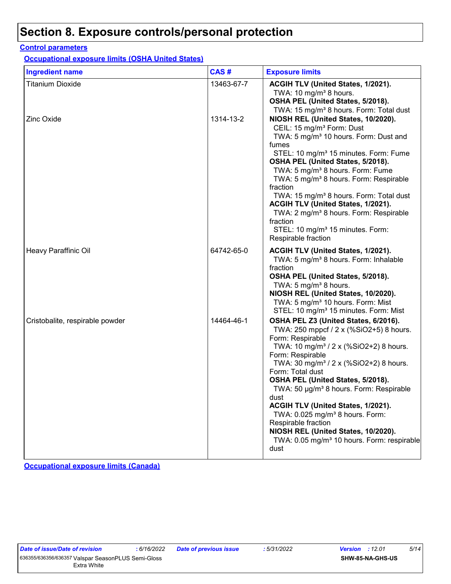# **Section 8. Exposure controls/personal protection**

### **Control parameters**

**Occupational exposure limits (OSHA United States)**

| <b>Ingredient name</b>          | CAS#       | <b>Exposure limits</b>                                                                                                                                                                                                                                                                                                                                                                                                                                                                                                                                                                       |
|---------------------------------|------------|----------------------------------------------------------------------------------------------------------------------------------------------------------------------------------------------------------------------------------------------------------------------------------------------------------------------------------------------------------------------------------------------------------------------------------------------------------------------------------------------------------------------------------------------------------------------------------------------|
| <b>Titanium Dioxide</b>         | 13463-67-7 | ACGIH TLV (United States, 1/2021).<br>TWA: 10 $mg/m3$ 8 hours.<br>OSHA PEL (United States, 5/2018).<br>TWA: 15 mg/m <sup>3</sup> 8 hours. Form: Total dust                                                                                                                                                                                                                                                                                                                                                                                                                                   |
| <b>Zinc Oxide</b>               | 1314-13-2  | NIOSH REL (United States, 10/2020).<br>CEIL: 15 mg/m <sup>3</sup> Form: Dust<br>TWA: 5 mg/m <sup>3</sup> 10 hours. Form: Dust and<br>fumes<br>STEL: 10 mg/m <sup>3</sup> 15 minutes. Form: Fume<br>OSHA PEL (United States, 5/2018).<br>TWA: 5 mg/m <sup>3</sup> 8 hours. Form: Fume<br>TWA: 5 mg/m <sup>3</sup> 8 hours. Form: Respirable<br>fraction<br>TWA: 15 mg/m <sup>3</sup> 8 hours. Form: Total dust<br>ACGIH TLV (United States, 1/2021).<br>TWA: 2 mg/m <sup>3</sup> 8 hours. Form: Respirable<br>fraction<br>STEL: 10 mg/m <sup>3</sup> 15 minutes. Form:<br>Respirable fraction |
| Heavy Paraffinic Oil            | 64742-65-0 | ACGIH TLV (United States, 1/2021).<br>TWA: 5 mg/m <sup>3</sup> 8 hours. Form: Inhalable<br>fraction<br>OSHA PEL (United States, 5/2018).<br>TWA: 5 mg/m <sup>3</sup> 8 hours.<br>NIOSH REL (United States, 10/2020).<br>TWA: 5 mg/m <sup>3</sup> 10 hours. Form: Mist<br>STEL: 10 mg/m <sup>3</sup> 15 minutes. Form: Mist                                                                                                                                                                                                                                                                   |
| Cristobalite, respirable powder | 14464-46-1 | OSHA PEL Z3 (United States, 6/2016).<br>TWA: 250 mppcf / 2 x (%SiO2+5) 8 hours.<br>Form: Respirable<br>TWA: 10 mg/m <sup>3</sup> / 2 x (%SiO2+2) 8 hours.<br>Form: Respirable<br>TWA: 30 mg/m <sup>3</sup> / 2 x (%SiO2+2) 8 hours.<br>Form: Total dust<br>OSHA PEL (United States, 5/2018).<br>TWA: 50 µg/m <sup>3</sup> 8 hours. Form: Respirable<br>dust<br>ACGIH TLV (United States, 1/2021).<br>TWA: 0.025 mg/m <sup>3</sup> 8 hours. Form:<br>Respirable fraction<br>NIOSH REL (United States, 10/2020).<br>TWA: 0.05 mg/m <sup>3</sup> 10 hours. Form: respirable<br>dust             |

**Occupational exposure limits (Canada)**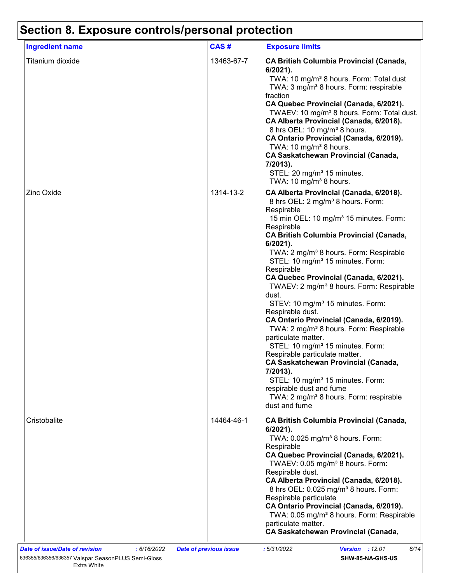| <b>Ingredient name</b> | CAS#       | <b>Exposure limits</b>                                                                                                                                                                                                                                                                                                                                                                                                                                                                                                                                                                                                                                                                                                                                                                                                                                                                                                                                                |
|------------------------|------------|-----------------------------------------------------------------------------------------------------------------------------------------------------------------------------------------------------------------------------------------------------------------------------------------------------------------------------------------------------------------------------------------------------------------------------------------------------------------------------------------------------------------------------------------------------------------------------------------------------------------------------------------------------------------------------------------------------------------------------------------------------------------------------------------------------------------------------------------------------------------------------------------------------------------------------------------------------------------------|
| Titanium dioxide       | 13463-67-7 | <b>CA British Columbia Provincial (Canada,</b><br>$6/2021$ ).<br>TWA: 10 mg/m <sup>3</sup> 8 hours. Form: Total dust<br>TWA: 3 mg/m <sup>3</sup> 8 hours. Form: respirable<br>fraction<br>CA Quebec Provincial (Canada, 6/2021).<br>TWAEV: 10 mg/m <sup>3</sup> 8 hours. Form: Total dust.<br>CA Alberta Provincial (Canada, 6/2018).<br>8 hrs OEL: 10 mg/m <sup>3</sup> 8 hours.<br>CA Ontario Provincial (Canada, 6/2019).<br>TWA: 10 mg/m <sup>3</sup> 8 hours.<br><b>CA Saskatchewan Provincial (Canada,</b><br>7/2013).<br>STEL: 20 mg/m <sup>3</sup> 15 minutes.<br>TWA: 10 mg/m <sup>3</sup> 8 hours.                                                                                                                                                                                                                                                                                                                                                          |
| <b>Zinc Oxide</b>      | 1314-13-2  | CA Alberta Provincial (Canada, 6/2018).<br>8 hrs OEL: 2 mg/m <sup>3</sup> 8 hours. Form:<br>Respirable<br>15 min OEL: 10 mg/m <sup>3</sup> 15 minutes. Form:<br>Respirable<br><b>CA British Columbia Provincial (Canada,</b><br>$6/2021$ ).<br>TWA: 2 mg/m <sup>3</sup> 8 hours. Form: Respirable<br>STEL: 10 mg/m <sup>3</sup> 15 minutes. Form:<br>Respirable<br>CA Quebec Provincial (Canada, 6/2021).<br>TWAEV: 2 mg/m <sup>3</sup> 8 hours. Form: Respirable<br>dust.<br>STEV: 10 mg/m <sup>3</sup> 15 minutes. Form:<br>Respirable dust.<br>CA Ontario Provincial (Canada, 6/2019).<br>TWA: 2 mg/m <sup>3</sup> 8 hours. Form: Respirable<br>particulate matter.<br>STEL: 10 mg/m <sup>3</sup> 15 minutes. Form:<br>Respirable particulate matter.<br><b>CA Saskatchewan Provincial (Canada,</b><br>7/2013).<br>STEL: 10 mg/m <sup>3</sup> 15 minutes. Form:<br>respirable dust and fume<br>TWA: 2 mg/m <sup>3</sup> 8 hours. Form: respirable<br>dust and fume |
| Cristobalite           | 14464-46-1 | <b>CA British Columbia Provincial (Canada,</b><br>$6/2021$ ).<br>TWA: 0.025 mg/m <sup>3</sup> 8 hours. Form:<br>Respirable<br>CA Quebec Provincial (Canada, 6/2021).<br>TWAEV: 0.05 mg/m <sup>3</sup> 8 hours. Form:<br>Respirable dust.<br>CA Alberta Provincial (Canada, 6/2018).<br>8 hrs OEL: 0.025 mg/m <sup>3</sup> 8 hours. Form:<br>Respirable particulate<br>CA Ontario Provincial (Canada, 6/2019).<br>TWA: 0.05 mg/m <sup>3</sup> 8 hours. Form: Respirable<br>particulate matter.                                                                                                                                                                                                                                                                                                                                                                                                                                                                         |

### 636355/636356/636357 Valspar SeasonPLUS Semi-Gloss Extra White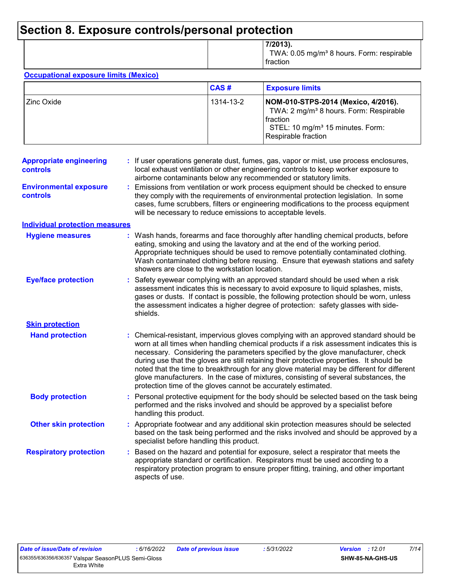# **Section 8. Exposure controls/personal protection**

|  | 7/2013).<br>TWA: 0.05 mg/m <sup>3</sup> 8 hours. Form: respirable<br>fraction |
|--|-------------------------------------------------------------------------------|
|--|-------------------------------------------------------------------------------|

#### **Occupational exposure limits (Mexico)**

|             | CAS#      | <b>Exposure limits</b>                                                                                                                                                         |
|-------------|-----------|--------------------------------------------------------------------------------------------------------------------------------------------------------------------------------|
| 'Zinc Oxide | 1314-13-2 | NOM-010-STPS-2014 (Mexico, 4/2016).<br>TWA: 2 mg/m <sup>3</sup> 8 hours. Form: Respirable<br>l fraction<br>STEL: 10 mg/m <sup>3</sup> 15 minutes. Form:<br>Respirable fraction |

| <b>Appropriate engineering</b><br>controls | If user operations generate dust, fumes, gas, vapor or mist, use process enclosures,<br>local exhaust ventilation or other engineering controls to keep worker exposure to<br>airborne contaminants below any recommended or statutory limits.                                                                                                                                                                                                                                                                                                                                                                         |  |
|--------------------------------------------|------------------------------------------------------------------------------------------------------------------------------------------------------------------------------------------------------------------------------------------------------------------------------------------------------------------------------------------------------------------------------------------------------------------------------------------------------------------------------------------------------------------------------------------------------------------------------------------------------------------------|--|
| <b>Environmental exposure</b><br>controls  | Emissions from ventilation or work process equipment should be checked to ensure<br>they comply with the requirements of environmental protection legislation. In some<br>cases, fume scrubbers, filters or engineering modifications to the process equipment<br>will be necessary to reduce emissions to acceptable levels.                                                                                                                                                                                                                                                                                          |  |
| <b>Individual protection measures</b>      |                                                                                                                                                                                                                                                                                                                                                                                                                                                                                                                                                                                                                        |  |
| <b>Hygiene measures</b>                    | : Wash hands, forearms and face thoroughly after handling chemical products, before<br>eating, smoking and using the lavatory and at the end of the working period.<br>Appropriate techniques should be used to remove potentially contaminated clothing.<br>Wash contaminated clothing before reusing. Ensure that eyewash stations and safety<br>showers are close to the workstation location.                                                                                                                                                                                                                      |  |
| <b>Eye/face protection</b>                 | : Safety eyewear complying with an approved standard should be used when a risk<br>assessment indicates this is necessary to avoid exposure to liquid splashes, mists,<br>gases or dusts. If contact is possible, the following protection should be worn, unless<br>the assessment indicates a higher degree of protection: safety glasses with side-<br>shields.                                                                                                                                                                                                                                                     |  |
| <b>Skin protection</b>                     |                                                                                                                                                                                                                                                                                                                                                                                                                                                                                                                                                                                                                        |  |
| <b>Hand protection</b>                     | : Chemical-resistant, impervious gloves complying with an approved standard should be<br>worn at all times when handling chemical products if a risk assessment indicates this is<br>necessary. Considering the parameters specified by the glove manufacturer, check<br>during use that the gloves are still retaining their protective properties. It should be<br>noted that the time to breakthrough for any glove material may be different for different<br>glove manufacturers. In the case of mixtures, consisting of several substances, the<br>protection time of the gloves cannot be accurately estimated. |  |
| <b>Body protection</b>                     | Personal protective equipment for the body should be selected based on the task being<br>performed and the risks involved and should be approved by a specialist before<br>handling this product.                                                                                                                                                                                                                                                                                                                                                                                                                      |  |
| <b>Other skin protection</b>               | : Appropriate footwear and any additional skin protection measures should be selected<br>based on the task being performed and the risks involved and should be approved by a<br>specialist before handling this product.                                                                                                                                                                                                                                                                                                                                                                                              |  |
| <b>Respiratory protection</b>              | Based on the hazard and potential for exposure, select a respirator that meets the<br>appropriate standard or certification. Respirators must be used according to a<br>respiratory protection program to ensure proper fitting, training, and other important<br>aspects of use.                                                                                                                                                                                                                                                                                                                                      |  |
|                                            |                                                                                                                                                                                                                                                                                                                                                                                                                                                                                                                                                                                                                        |  |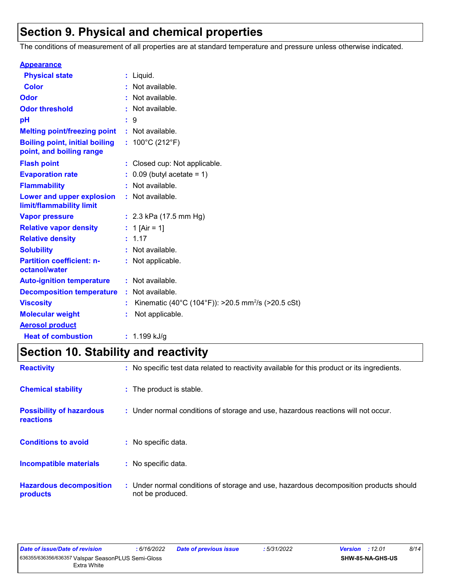# **Section 9. Physical and chemical properties**

The conditions of measurement of all properties are at standard temperature and pressure unless otherwise indicated.

| <b>Appearance</b>                                                 |                                                                |
|-------------------------------------------------------------------|----------------------------------------------------------------|
| <b>Physical state</b>                                             | $:$ Liquid.                                                    |
| <b>Color</b>                                                      | : Not available.                                               |
| Odor                                                              | : Not available.                                               |
| <b>Odor threshold</b>                                             | : Not available.                                               |
| pH                                                                | : 9                                                            |
| <b>Melting point/freezing point</b>                               | : Not available.                                               |
| <b>Boiling point, initial boiling</b><br>point, and boiling range | : $100^{\circ}$ C (212 $^{\circ}$ F)                           |
| <b>Flash point</b>                                                | : Closed cup: Not applicable.                                  |
| <b>Evaporation rate</b>                                           | $0.09$ (butyl acetate = 1)                                     |
| <b>Flammability</b>                                               | : Not available.                                               |
| Lower and upper explosion<br>limit/flammability limit             | : Not available.                                               |
| <b>Vapor pressure</b>                                             | : $2.3$ kPa (17.5 mm Hg)                                       |
| <b>Relative vapor density</b>                                     | : 1 [Air = 1]                                                  |
| <b>Relative density</b>                                           | : 1.17                                                         |
| <b>Solubility</b>                                                 | : Not available.                                               |
| <b>Partition coefficient: n-</b><br>octanol/water                 | : Not applicable.                                              |
| <b>Auto-ignition temperature</b>                                  | : Not available.                                               |
| <b>Decomposition temperature</b>                                  | : Not available.                                               |
| <b>Viscosity</b>                                                  | Kinematic (40°C (104°F)): >20.5 mm <sup>2</sup> /s (>20.5 cSt) |
| <b>Molecular weight</b>                                           | Not applicable.                                                |
| <b>Aerosol product</b>                                            |                                                                |
| <b>Heat of combustion</b>                                         | $: 1.199$ kJ/g                                                 |

# **Section 10. Stability and reactivity**

| <b>Reactivity</b>                                   | : No specific test data related to reactivity available for this product or its ingredients.              |
|-----------------------------------------------------|-----------------------------------------------------------------------------------------------------------|
| <b>Chemical stability</b>                           | : The product is stable.                                                                                  |
| <b>Possibility of hazardous</b><br><b>reactions</b> | : Under normal conditions of storage and use, hazardous reactions will not occur.                         |
| <b>Conditions to avoid</b>                          | : No specific data.                                                                                       |
| <b>Incompatible materials</b>                       | : No specific data.                                                                                       |
| <b>Hazardous decomposition</b><br>products          | : Under normal conditions of storage and use, hazardous decomposition products should<br>not be produced. |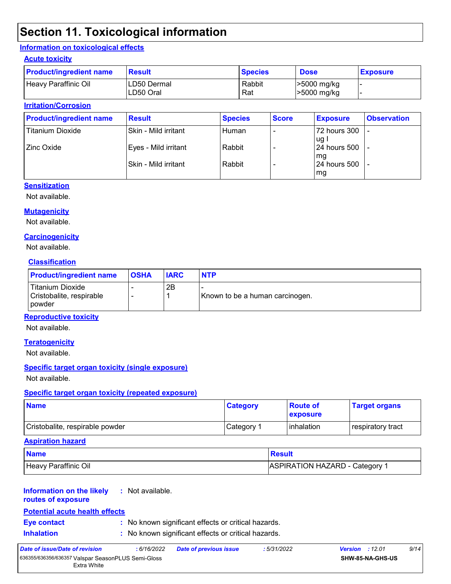# **Section 11. Toxicological information**

### **Information on toxicological effects**

#### **Acute toxicity**

| <b>Product/ingredient name</b> | <b>Result</b>            | <b>Species</b> | <b>Dose</b>                | <b>Exposure</b> |
|--------------------------------|--------------------------|----------------|----------------------------|-----------------|
| Heavy Paraffinic Oil           | LD50 Dermal<br>LD50 Oral | Rabbit<br>Rat  | >5000 mg/kg<br>>5000 mg/kg |                 |

### **Irritation/Corrosion**

| <b>Product/ingredient name</b> | <b>Result</b>         | <b>Species</b> | <b>Score</b> | <b>Exposure</b>               | <b>Observation</b> |
|--------------------------------|-----------------------|----------------|--------------|-------------------------------|--------------------|
| <b>Titanium Dioxide</b>        | Skin - Mild irritant  | Human          |              | 72 hours 300<br>ug l          | -                  |
| Zinc Oxide                     | Eyes - Mild irritant  | Rabbit         |              | l 24 hours 500                |                    |
|                                | lSkin - Mild irritant | Rabbit         |              | l mg<br>124 hours 500<br>  mg |                    |

#### **Sensitization**

Not available.

### **Mutagenicity**

Not available.

### **Carcinogenicity**

Not available.

### **Classification**

| <b>Product/ingredient name</b>                                | <b>OSHA</b> | <b>IARC</b> | <b>NTP</b>                      |
|---------------------------------------------------------------|-------------|-------------|---------------------------------|
| Titanium Dioxide<br>Cristobalite, respirable<br><b>powder</b> |             | 2Β          | Known to be a human carcinogen. |

### **Reproductive toxicity**

Not available.

#### **Teratogenicity**

Not available.

#### **Specific target organ toxicity (single exposure)**

Not available.

#### **Specific target organ toxicity (repeated exposure)**

| <b>Name</b>                     | <b>Category</b> | <b>Route of</b><br><b>exposure</b> | <b>Target organs</b> |
|---------------------------------|-----------------|------------------------------------|----------------------|
| Cristobalite, respirable powder | Category 1      | <b>l</b> inhalation                | respiratory tract    |

#### **Aspiration hazard**

| <b>Name</b>          | <b>Result</b>                  |
|----------------------|--------------------------------|
| Heavy Paraffinic Oil | ASPIRATION HAZARD - Category " |

#### **Information on the likely :** Not available.

**routes of exposure**

### **Potential acute health effects**

- 
- **Eye contact :** No known significant effects or critical hazards.
- **Inhalation :** No known significant effects or critical hazards.

| Date of issue/Date of revision                     | : 6/16/2022 | <b>Date of previous issue</b> | :5/31/2022 | <b>Version</b> : 12.01  | 9/14 |
|----------------------------------------------------|-------------|-------------------------------|------------|-------------------------|------|
| 636355/636356/636357 Valspar SeasonPLUS Semi-Gloss |             |                               |            | <b>SHW-85-NA-GHS-US</b> |      |
| Extra White                                        |             |                               |            |                         |      |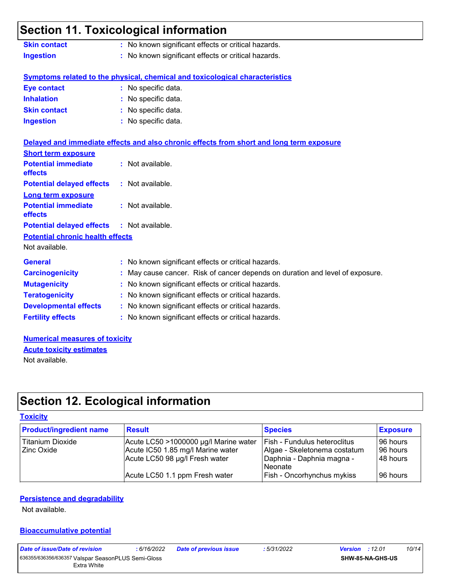### **Section 11. Toxicological information Skin contact :** No known significant effects or critical hazards.

|                  | The implicit biginned in one order of indication as: |
|------------------|------------------------------------------------------|
| <b>Ingestion</b> | : No known significant effects or critical hazards.  |

### **Symptoms related to the physical, chemical and toxicological characteristics**

| <b>Eye contact</b>  | : No specific data. |
|---------------------|---------------------|
| <b>Inhalation</b>   | : No specific data. |
| <b>Skin contact</b> | : No specific data. |
| <b>Ingestion</b>    | : No specific data. |

|                                                   | Delayed and immediate effects and also chronic effects from short and long term exposure |
|---------------------------------------------------|------------------------------------------------------------------------------------------|
| <b>Short term exposure</b>                        |                                                                                          |
| <b>Potential immediate</b><br><b>effects</b>      | : Not available.                                                                         |
| <b>Potential delayed effects : Not available.</b> |                                                                                          |
| <b>Long term exposure</b>                         |                                                                                          |
| <b>Potential immediate</b><br><b>effects</b>      | : Not available.                                                                         |
| <b>Potential delayed effects : Not available.</b> |                                                                                          |
| <b>Potential chronic health effects</b>           |                                                                                          |
| Not available.                                    |                                                                                          |
| <b>General</b>                                    | : No known significant effects or critical hazards.                                      |
| <b>Carcinogenicity</b>                            | : May cause cancer. Risk of cancer depends on duration and level of exposure.            |
| <b>Mutagenicity</b>                               | : No known significant effects or critical hazards.                                      |
| <b>Teratogenicity</b>                             | : No known significant effects or critical hazards.                                      |
| <b>Developmental effects</b>                      | : No known significant effects or critical hazards.                                      |
| <b>Fertility effects</b>                          | : No known significant effects or critical hazards.                                      |

**Numerical measures of toxicity** Not available. **Acute toxicity estimates**

# **Section 12. Ecological information**

#### **Toxicity**

| <b>Product/ingredient name</b> | <b>Result</b>                         | <b>Species</b>                    | <b>Exposure</b> |
|--------------------------------|---------------------------------------|-----------------------------------|-----------------|
| Titanium Dioxide               | Acute LC50 >1000000 µg/l Marine water | Fish - Fundulus heteroclitus      | 196 hours       |
| <b>Zinc Oxide</b>              | Acute IC50 1.85 mg/l Marine water     | Algae - Skeletonema costatum      | 196 hours       |
|                                | Acute LC50 98 µg/l Fresh water        | Daphnia - Daphnia magna -         | 48 hours        |
|                                |                                       | Neonate                           |                 |
|                                | Acute LC50 1.1 ppm Fresh water        | <b>Fish - Oncorhynchus mykiss</b> | 196 hours       |

### **Persistence and degradability**

Not available.

#### **Bioaccumulative potential**

| Date of issue/Date of revision                     | : 6/16/2022 | <b>Date of previous issue</b> | :5/31/2022 | 10/14<br><b>Version</b> : 12.01 |
|----------------------------------------------------|-------------|-------------------------------|------------|---------------------------------|
| 636355/636356/636357 Valspar SeasonPLUS Semi-Gloss |             |                               |            | <b>SHW-85-NA-GHS-US</b>         |
| Extra White                                        |             |                               |            |                                 |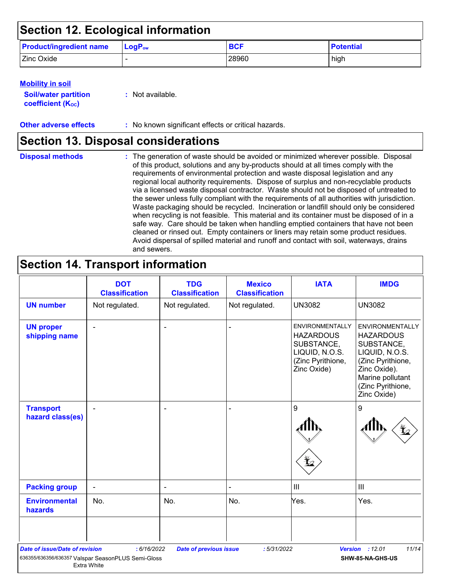# **Section 12. Ecological information**

| <b>Product/ingredient name</b> | $\mathsf{LogP}_\mathsf{ow}$ | <b>BCF</b> | <b>Potential</b> |
|--------------------------------|-----------------------------|------------|------------------|
| Zinc Oxide                     |                             | 28960      | high             |

### **Mobility in soil**

| <b>Soil/water partition</b> |  |
|-----------------------------|--|
| <b>coefficient (Koc)</b>    |  |

**:** Not available.

**Other adverse effects** : No known significant effects or critical hazards.

### **Section 13. Disposal considerations**

The generation of waste should be avoided or minimized wherever possible. Disposal of this product, solutions and any by-products should at all times comply with the requirements of environmental protection and waste disposal legislation and any regional local authority requirements. Dispose of surplus and non-recyclable products via a licensed waste disposal contractor. Waste should not be disposed of untreated to the sewer unless fully compliant with the requirements of all authorities with jurisdiction. Waste packaging should be recycled. Incineration or landfill should only be considered when recycling is not feasible. This material and its container must be disposed of in a safe way. Care should be taken when handling emptied containers that have not been cleaned or rinsed out. Empty containers or liners may retain some product residues. Avoid dispersal of spilled material and runoff and contact with soil, waterways, drains and sewers. **Disposal methods :**

# **Section 14. Transport information**

| Not regulated. | Not regulated.           |                |                                                                                                                |                                                                                                                                                                         |
|----------------|--------------------------|----------------|----------------------------------------------------------------------------------------------------------------|-------------------------------------------------------------------------------------------------------------------------------------------------------------------------|
|                |                          | Not regulated. | <b>UN3082</b>                                                                                                  | <b>UN3082</b>                                                                                                                                                           |
|                | ٠                        |                | <b>ENVIRONMENTALLY</b><br><b>HAZARDOUS</b><br>SUBSTANCE,<br>LIQUID, N.O.S.<br>(Zinc Pyrithione,<br>Zinc Oxide) | <b>ENVIRONMENTALLY</b><br><b>HAZARDOUS</b><br>SUBSTANCE,<br>LIQUID, N.O.S.<br>(Zinc Pyrithione,<br>Zinc Oxide).<br>Marine pollutant<br>(Zinc Pyrithione,<br>Zinc Oxide) |
|                | ۰                        |                | 9                                                                                                              | 9                                                                                                                                                                       |
| $\blacksquare$ | $\overline{\phantom{a}}$ |                | $\ensuremath{\mathsf{III}}\xspace$                                                                             | $\ensuremath{\mathsf{III}}\xspace$                                                                                                                                      |
| No.            | No.                      | No.            | Yes.                                                                                                           | Yes.                                                                                                                                                                    |
|                |                          |                |                                                                                                                |                                                                                                                                                                         |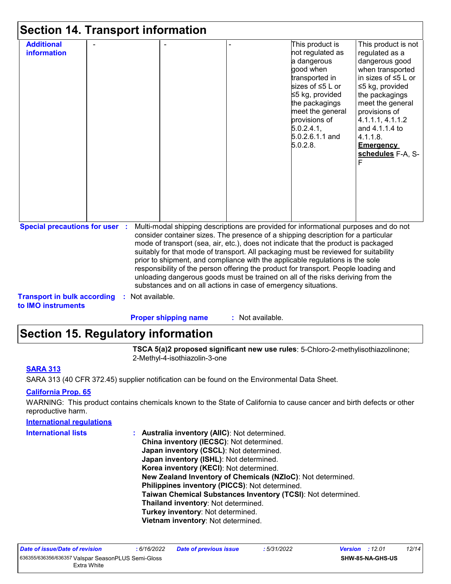| <b>Additional</b>                                        |                  |                                                                                                                                                                                                                                                                                                                                                                                                                                                                                                                                                                                                                                                                                     | This product is                                                                                                                                                                                            | This product is not                                                                                                                                                                                                                              |
|----------------------------------------------------------|------------------|-------------------------------------------------------------------------------------------------------------------------------------------------------------------------------------------------------------------------------------------------------------------------------------------------------------------------------------------------------------------------------------------------------------------------------------------------------------------------------------------------------------------------------------------------------------------------------------------------------------------------------------------------------------------------------------|------------------------------------------------------------------------------------------------------------------------------------------------------------------------------------------------------------|--------------------------------------------------------------------------------------------------------------------------------------------------------------------------------------------------------------------------------------------------|
| information                                              |                  |                                                                                                                                                                                                                                                                                                                                                                                                                                                                                                                                                                                                                                                                                     | not regulated as<br>a dangerous<br>good when<br>transported in<br>sizes of ≤5 L or<br>≤5 kg, provided<br>the packagings<br>meet the general<br>provisions of<br>5.0.2.4.1<br>$5.0.2.6.1.1$ and<br>5.0.2.8. | regulated as a<br>dangerous good<br>when transported<br>in sizes of ≤5 L or<br>≤5 kg, provided<br>the packagings<br>meet the general<br>provisions of<br>4.1.1.1, 4.1.1.2<br>and 4.1.1.4 to<br>4.1.1.8.<br><b>Emergency</b><br>schedules F-A, S- |
| <b>Special precautions for user :</b>                    |                  | Multi-modal shipping descriptions are provided for informational purposes and do not<br>consider container sizes. The presence of a shipping description for a particular<br>mode of transport (sea, air, etc.), does not indicate that the product is packaged<br>suitably for that mode of transport. All packaging must be reviewed for suitability<br>prior to shipment, and compliance with the applicable regulations is the sole<br>responsibility of the person offering the product for transport. People loading and<br>unloading dangerous goods must be trained on all of the risks deriving from the<br>substances and on all actions in case of emergency situations. |                                                                                                                                                                                                            |                                                                                                                                                                                                                                                  |
| <b>Transport in bulk according</b><br>to IMO instruments | : Not available. |                                                                                                                                                                                                                                                                                                                                                                                                                                                                                                                                                                                                                                                                                     |                                                                                                                                                                                                            |                                                                                                                                                                                                                                                  |

### **Section 15. Regulatory information**

**TSCA 5(a)2 proposed significant new use rules**: 5-Chloro-2-methylisothiazolinone; 2-Methyl-4-isothiazolin-3-one

### **SARA 313**

SARA 313 (40 CFR 372.45) supplier notification can be found on the Environmental Data Sheet.

### **California Prop. 65**

WARNING: This product contains chemicals known to the State of California to cause cancer and birth defects or other reproductive harm.

| <b>International regulations</b> |                                                              |
|----------------------------------|--------------------------------------------------------------|
| <b>International lists</b>       | : Australia inventory (AIIC): Not determined.                |
|                                  | China inventory (IECSC): Not determined.                     |
|                                  | Japan inventory (CSCL): Not determined.                      |
|                                  | Japan inventory (ISHL): Not determined.                      |
|                                  | Korea inventory (KECI): Not determined.                      |
|                                  | New Zealand Inventory of Chemicals (NZIoC): Not determined.  |
|                                  | Philippines inventory (PICCS): Not determined.               |
|                                  | Taiwan Chemical Substances Inventory (TCSI): Not determined. |
|                                  | Thailand inventory: Not determined.                          |
|                                  | Turkey inventory: Not determined.                            |
|                                  | Vietnam inventory: Not determined.                           |
|                                  |                                                              |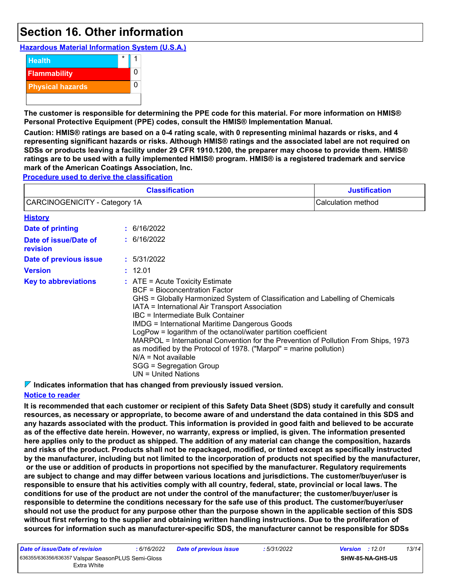# **Section 16. Other information**

**Hazardous Material Information System (U.S.A.)**



**The customer is responsible for determining the PPE code for this material. For more information on HMIS® Personal Protective Equipment (PPE) codes, consult the HMIS® Implementation Manual.**

**Caution: HMIS® ratings are based on a 0-4 rating scale, with 0 representing minimal hazards or risks, and 4 representing significant hazards or risks. Although HMIS® ratings and the associated label are not required on SDSs or products leaving a facility under 29 CFR 1910.1200, the preparer may choose to provide them. HMIS® ratings are to be used with a fully implemented HMIS® program. HMIS® is a registered trademark and service mark of the American Coatings Association, Inc.**

**Procedure used to derive the classification**

|                                   | <b>Justification</b>                                                                                                                                                                                                                                                                                                                                                                                                                                                                                                                                                                                         |                    |
|-----------------------------------|--------------------------------------------------------------------------------------------------------------------------------------------------------------------------------------------------------------------------------------------------------------------------------------------------------------------------------------------------------------------------------------------------------------------------------------------------------------------------------------------------------------------------------------------------------------------------------------------------------------|--------------------|
| CARCINOGENICITY - Category 1A     |                                                                                                                                                                                                                                                                                                                                                                                                                                                                                                                                                                                                              | Calculation method |
| <b>History</b>                    |                                                                                                                                                                                                                                                                                                                                                                                                                                                                                                                                                                                                              |                    |
| <b>Date of printing</b>           | : 6/16/2022                                                                                                                                                                                                                                                                                                                                                                                                                                                                                                                                                                                                  |                    |
| Date of issue/Date of<br>revision | : 6/16/2022                                                                                                                                                                                                                                                                                                                                                                                                                                                                                                                                                                                                  |                    |
| Date of previous issue            | : 5/31/2022                                                                                                                                                                                                                                                                                                                                                                                                                                                                                                                                                                                                  |                    |
| <b>Version</b>                    | : 12.01                                                                                                                                                                                                                                                                                                                                                                                                                                                                                                                                                                                                      |                    |
| <b>Key to abbreviations</b>       | $:$ ATE = Acute Toxicity Estimate<br>BCF = Bioconcentration Factor<br>GHS = Globally Harmonized System of Classification and Labelling of Chemicals<br>IATA = International Air Transport Association<br>IBC = Intermediate Bulk Container<br><b>IMDG = International Maritime Dangerous Goods</b><br>LogPow = logarithm of the octanol/water partition coefficient<br>MARPOL = International Convention for the Prevention of Pollution From Ships, 1973<br>as modified by the Protocol of 1978. ("Marpol" = marine pollution)<br>$N/A = Not available$<br>SGG = Segregation Group<br>$UN = United Nations$ |                    |

**Indicates information that has changed from previously issued version.**

### **Notice to reader**

**It is recommended that each customer or recipient of this Safety Data Sheet (SDS) study it carefully and consult resources, as necessary or appropriate, to become aware of and understand the data contained in this SDS and any hazards associated with the product. This information is provided in good faith and believed to be accurate as of the effective date herein. However, no warranty, express or implied, is given. The information presented here applies only to the product as shipped. The addition of any material can change the composition, hazards and risks of the product. Products shall not be repackaged, modified, or tinted except as specifically instructed by the manufacturer, including but not limited to the incorporation of products not specified by the manufacturer, or the use or addition of products in proportions not specified by the manufacturer. Regulatory requirements are subject to change and may differ between various locations and jurisdictions. The customer/buyer/user is responsible to ensure that his activities comply with all country, federal, state, provincial or local laws. The conditions for use of the product are not under the control of the manufacturer; the customer/buyer/user is responsible to determine the conditions necessary for the safe use of this product. The customer/buyer/user should not use the product for any purpose other than the purpose shown in the applicable section of this SDS without first referring to the supplier and obtaining written handling instructions. Due to the proliferation of sources for information such as manufacturer-specific SDS, the manufacturer cannot be responsible for SDSs**